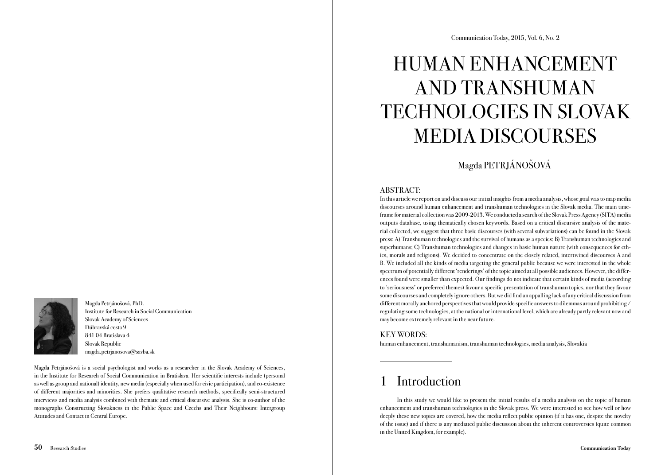Magda Petrjánošová, PhD. Institute for Research in Social Communication Slovak Academy of Sciences Dúbravská cesta 9 841 04 Bratislava 4 Slovak Republic magda.petrjanosova@savba.sk

Magda Petrjánošová is a social psychologist and works as a researcher in the Slovak Academy of Sciences, in the Institute for Research of Social Communication in Bratislava. Her scientific interests include (personal as well as group and national) identity, new media (especially when used for civic participation), and co-existence of different majorities and minorities. She prefers qualitative research methods, specifically semi-structured interviews and media analysis combined with thematic and critical discursive analysis. She is co-author of the monographs Constructing Slovakness in the Public Space and Czechs and Their Neighbours: Intergroup Attitudes and Contact in Central Europe.

# HUMAN ENHANCEMENT AND TRANSHUMAN TECHNOLOGIES IN SLOVAK MEDIA DISCOURSES

Magda PETRJÁNOŠOVÁ

# ABSTRACT:

In this article we report on and discuss our initial insights from a media analysis, whose goal was to map media discourses around human enhancement and transhuman technologies in the Slovak media. The main timeframe for material collection was 2009-2013. We conducted a search of the Slovak Press Agency (SITA) media outputs database, using thematically chosen keywords. Based on a critical discursive analysis of the material collected, we suggest that three basic discourses (with several subvariations) can be found in the Slovak press: A) Transhuman technologies and the survival of humans as a species; B) Transhuman technologies and superhumans; C) Transhuman technologies and changes in basic human nature (with consequences for ethics, morals and religions). We decided to concentrate on the closely related, intertwined discourses A and B. We included all the kinds of media targeting the general public because we were interested in the whole spectrum of potentially different 'renderings' of the topic aimed at all possible audiences. However, the differences found were smaller than expected. Our findings do not indicate that certain kinds of media (according to 'seriousness' or preferred themes) favour a specific presentation of transhuman topics, nor that they favour some discourses and completely ignore others. But we did find an appalling lack of any critical discussion from different morally anchored perspectives that would provide specific answers to dilemmas around prohibiting / regulating some technologies, at the national or international level, which are already partly relevant now and may become extremely relevant in the near future.

# KEY WORDS:

human enhancement, transhumanism, transhuman technologies, media analysis, Slovakia

# **Introduction**

In this study we would like to present the initial results of a media analysis on the topic of human enhancement and transhuman technologies in the Slovak press. We were interested to see how well or how deeply these new topics are covered, how the media reflect public opinion (if it has one, despite the novelty of the issue) and if there is any mediated public discussion about the inherent controversies (quite common in the United Kingdom, for example).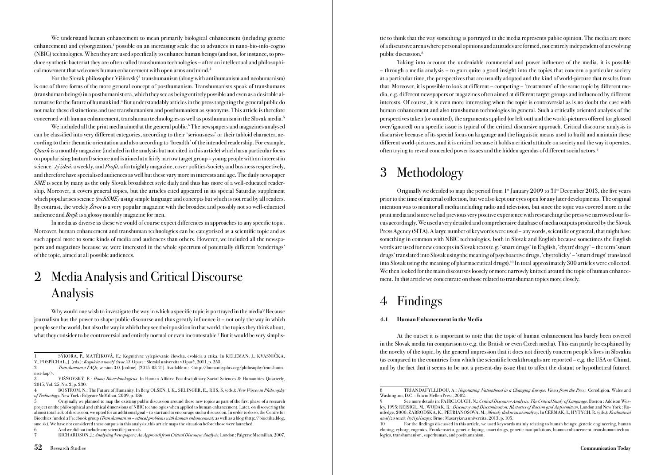We understand human enhancement to mean primarily biological enhancement (including genetic enhancement) and cyborgization,<sup>1</sup> possible on an increasing scale due to advances in nano-bio-info-cogno (NBIC) technologies. When they are used specifically to enhance human beings (and not, for instance, to produce synthetic bacteria) they are often called transhuman technologies – after an intellectual and philosophical movement that welcomes human enhancement with open arms and mind.<sup>2</sup>

For the Slovak philosopher Višňovský<sup>3</sup> transhumanism (along with antihumanism and neohumanism) is one of three forms of the more general concept of posthumanism. Transhumanists speak of transhumans (transhuman beings) in a posthumanist era, which they see as being entirely possible and even as a desirable alternative for the future of humankind.<sup>4</sup> But understandably articles in the press targeting the general public do not make these distinctions and use transhumanism and posthumanism as synonyms. This article is therefore concerned with human enhancement, transhuman technologies as well as posthumanism in the Slovak media.5

We included all the print media aimed at the general public.<sup>6</sup> The newspapers and magazines analysed can be classified into very different categories, according to their 'seriousness' or their tabloid character, according to their thematic orientation and also according to 'breadth' of the intended readership. For example, *Quark* is a monthly magazine (included in the analysis but not cited in this article) which has a particular focus on popularising (natural) science and is aimed at a fairly narrow target group – young people with an interest in science.  $\Delta t$  /  $\Delta t$  and  $\Delta t$  and  $\Delta t$ , a fortnightly magazine, cover politics/society and business respectively, and therefore have specialised audiences as well but these vary more in interests and age. The daily newspaper SME is seen by many as the only Slovak broadsheet style daily and thus has more of a well-educated readership. Moreover, it covers general topics, but the articles cited appeared in its special Saturday supplement which popularises science *(techSME)* using simple language and concepts but which is not read by all readers. By contrast, the weekly *Život* is a very popular magazine with the broadest and possibly not so well-educated audience and Brejk is a glossy monthly magazine for men.

In media as diverse as these we would of course expect differences in approaches to any specific topic. Moreover, human enhancement and transhuman technologies can be categorised as a scientific topic and as such appeal more to some kinds of media and audiences than others. However, we included all the newspapers and magazines because we were interested in the whole spectrum of potentially different 'renderings' of the topic, aimed at all possible audiences.

# 2 Media Analysis and Critical Discourse Analysis

Why would one wish to investigate the way in which a specific topic is portrayed in the media? Because journalism has the power to shape public discourse and thus greatly influence it – not only the way in which people see the world, but also the way in which they see their position in that world, the topics they think about, what they consider to be controversial and entirely normal or even incontestable.<sup>7</sup> But it would be very simplis-

6 And we did not include any scientific journals.

tic to think that the way something is portrayed in the media represents public opinion. The media are more of a discursive arena where personal opinions and attitudes are formed, not entirely independent of an evolving public discussion.8

Taking into account the undeniable commercial and power influence of the media, it is possible – through a media analysis – to gain quite a good insight into the topics that concern a particular society at a particular time, the perspectives that are usually adopted and the kind of world-picture that results from that. Moreover, it is possible to look at different – competing – 'treatments' of the same topic by different media, e.g. different newspapers or magazines often aimed at different target groups and influenced by different interests. Of course, it is even more interesting when the topic is controversial as is no doubt the case with human enhancement and also transhuman technologies in general. Such a critically oriented analysis of the perspectives taken (or omitted), the arguments applied (or left out) and the world-pictures offered (or glossed over/ignored) on a specific issue is typical of the critical discursive approach. Critical discourse analysis is discursive because of its special focus on language and the linguistic means used to build and maintain these different world-pictures, and it is critical because it holds a critical attitude on society and the way it operates, often trying to reveal concealed power issues and the hidden agendas of different social actors.9

# 3 Methodology

Originally we decided to map the period from  $1<sup>st</sup>$  January 2009 to  $31<sup>st</sup>$  December 2013, the five years prior to the time of material collection, but we also kept our eyes open for any later developments. The original intention was to monitor all media including radio and television, but since the topic was covered more in the print media and since we had previous very positive experience with researching the press we narrowed our focus accordingly. We used a very detailed and comprehensive database of media outputs produced by the Slovak Press Agency (SITA). A large number of keywords were used – any words, scientific or general, that might have something in common with NBIC technologies, both in Slovak and English because sometimes the English words are used for new concepts in Slovak texts (e.g. 'smart drugs' in English, 'chytré drogy' – the term 'smart drugs' translated into Slovak using the meaning of psychoactive drugs, 'chytrolieky' – 'smart drugs' translated into Slovak using the meaning of pharmaceutical drugs).10 In total approximately 300 articles were collected. We then looked for the main discourses loosely or more narrowly knitted around the topic of human enhancement. In this article we concentrate on those related to transhuman topics more closely.

# 4 Findings

#### 4.1 Human Enhancement in the Media

At the outset it is important to note that the topic of human enhancement has barely been covered in the Slovak media (in comparison to e.g. the British or even Czech media). This can partly be explained by the novelty of the topic, by the general impression that it does not directly concern people's lives in Slovakia (as compared to the countries from which the scientific breakthroughs are reported – e.g. the USA or China), and by the fact that it seems to be not a present-day issue (but to affect the distant or hypothetical future).

<sup>1</sup> SÝKORA, P., MATĚJKOVÁ, E.: Kognitívne vylepšovanie človeka, evolúcia a etika. In KELEMAN, J., KVASNIČK A, V., POSPÍCHAL, J. (eds.): Kognícia a umelý život XI. Opava : Slezská univerzita v Opavě, 2011, p. 255.

<sup>2</sup> Transhumanist FAQs, version 3.0. [online]. [2015-03-21]. Available at: <http://humanityplus.org/philosophy/transhumanist-faq/>.

<sup>3</sup> VIŠŇOVSKÝ, E.: Homo Biotechnologicus. In Human Affairs: Postdisciplinary Social Sciences & Humanities Quarterly, 2015, Vol. 25, No. 2, p. 230.

BOSTROM, N.: The Future of Humanity. In Berg OLSEN, J. K., SELINGER, E., RIIS, S. (eds.): New Waves in Philosophy of Technology. New York : Palgrave McMillan, 2009, p. 186.

<sup>5</sup> Originally we planned to map the existing public discussion around these new topics as part of the first phase of a research project on the philosophical and ethical dimensions of NBIC technologies when applied to human enhancement. Later, on discovering the almost total lack of discussion, we opted for an additional goal – to start and to encourage such a discussion. In order to do so, the Centre for Bioethics funded a Facebook group (Transhumanism – ethical problems with human enhancement) as well as a blog (http://bioetika.blog. sme.sk). We have not considered these outputs in this analysis; this article maps the situation before those were launched.

<sup>7</sup> RICHARDSON, J.: Analysing Newspapers: An Approach from Critical Discourse Analysis. London : Palgrave Macmillan, 2007.

TRIANDAFYLLIDOU, A.: Negotiating Nationhood in a Changing Europe: Views from the Press. Ceredigion, Wales and Washington, D.C. : Edwin Mellen Press, 2002.

See more details in: FAIRCLOUGH, N.: Critical Discourse Analysis: The Critical Study of Language. Boston : Addison Wesley, 1995; REISIGL, M., WODAK, R.: Discourse and Discrimination: Rhetorics of Racism and Antisemitism, London and New York : Routledge, 2000; ZÁBRODSKÁ, K., PETRJÁNOŠOVÁ, M.: Metody diskurzivní analýzy. In ČERMÁK, I., HYTYCH, R. (eds.): Kvalitativní analýza textů: čtyři přístupy. Brno : Masarykova univerzita, 2013, p. 105.

<sup>10</sup> For the findings discussed in this article, we used keywords mainly relating to human beings: genetic engineering, human cloning, cyborg, eugenics, Frankenstein, genetic doping, smart drugs, genetic manipulations, human enhancement, transhuman technologies, transhumanism, superhuman, and posthumanism.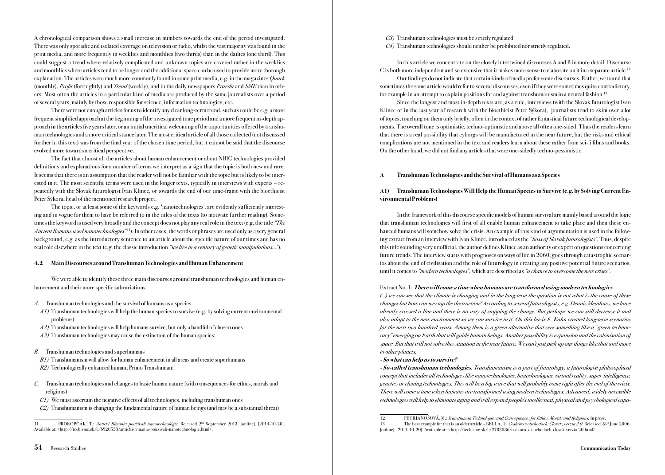A chronological comparison shows a small increase in numbers towards the end of the period investigated. There was only sporadic and isolated coverage on television or radio, whilst the vast majority was found in the print media, and more frequently in weeklies and monthlies (two thirds) than in the dailies (one third). This could suggest a trend where relatively complicated and unknown topics are covered rather in the weeklies and monthlies where articles tend to be longer and the additional space can be used to provide more thorough explanation. The articles were much more commonly found in some print media, e.g. in the magazines Quark (monthly), Profit (fortnightly) and Trend (weekly), and in the daily newspapers Pravda and SME than in others. Most often the articles in a particular kind of media are produced by the same journalists over a period of several years, mainly by those responsible for science, information technologies, etc.

There were not enough articles for us to identify any clear long-term trend, such as could be e.g. a more frequent simplified approach at the beginning of the investigated time period and a more frequent in-depth approach in the articles five years later, or an initial uncritical welcoming of the opportunities offered by transhuman technologies and a more critical stance later. The most critical article of all those collected (not discussed further in this text) was from the final year of the chosen time period, but it cannot be said that the discourse evolved more towards a critical perspective.

The fact that almost all the articles about human enhancement or about NBIC technologies provided definitions and explanations for a number of terms we interpret as a sign that the topic is both new and rare. It seems that there is an assumption that the reader will not be familiar with the topic but is likely to be interested in it. The most scientific terms were used in the longer texts, typically in interviews with experts – repeatedly with the Slovak futurologist Ivan Klinec, or towards the end of our time-frame with the bioethicist Peter Sýkora, head of the mentioned research project.

The topic, or at least some of the keywords e.g. 'nanotechnologies', are evidently sufficiently interesting and in vogue for them to have be referred to in the titles of the texts (to motivate further reading). Sometimes the keyword is used very broadly and the concept does not play any real role in the text (e.g. the title "The Ancient Romans used nanotechnologies"<sup>11</sup>). In other cases, the words or phrases are used only as a very general background, e.g. as the introductory sentence to an article about the specific nature of our times and has no real role elsewhere in the text (e.g. the classic introduction "we live in a century of genetic manipulations...").

#### 4.2 Main Discourses around Transhuman Technologies and Human Enhancement

We were able to identify these three main discourses around transhuman technologies and human enhancement and their more specific subvariations:

- A. Transhuman technologies and the survival of humans as a species
- A1) Transhuman technologies will help the human species to survive (e.g. by solving current environmental problems)
- A2) Transhuman technologies will help humans survive, but only a handful of chosen ones
- A3) Transhuman technologies may cause the extinction of the human species;
- B. Transhuman technologies and superhumans
- B1) Transhumanism will allow for human enhancement in all areas and create superhumans
- B2) Technologically enhanced human, Primo Transhuman;
- C. Transhuman technologies and changes to basic human nature (with consequences for ethics, morals and religions)
- $C1$ ) We must ascertain the negative effects of all technologies, including transhuman ones
- $C<sub>2</sub>$ ) Transhumanism is changing the fundamental nature of human beings (and may be a substantial threat)

C3) Transhuman technologies must be strictly regulated

C4) Transhuman technologies should neither be prohibited nor strictly regulated.

In this article we concentrate on the closely intertwined discourses A and B in more detail. Discourse C is both more independent and so extensive that it makes more sense to elaborate on it in a separate article.<sup>12</sup>

Our findings do not indicate that certain kinds of media prefer some discourses. Rather, we found that sometimes the same article would refer to several discourses, even if they were sometimes quite contradictory, for example in an attempt to explain positions for and against transhumanism in a neutral fashion.<sup>13</sup>

Since the longest and most in-depth texts are, as a rule, interviews (with the Slovak futurologist Ivan Klinec or in the last year of research with the bioethicist Peter Sýkora), journalists tend to skim over a lot of topics, touching on them only briefly, often in the context of rather fantastical future technological developments. The overall tone is optimistic, techno-optimistic and above all often one-sided. Thus the readers learn that there is a real possibility that cyborgs will be manufactured in the near future, but the risks and ethical complications are not mentioned in the text and readers learn about these rather from sci-fi films and books. On the other hand, we did not find any articles that were one-sidedly techno-pessimistic.

#### A Transhuman Technologies and the Survival of Humans as a Species

### A1) Transhuman Technologies Will Help the Human Species to Survive (e.g. by Solving Current Environmental Problems)

In the framework of this discourse specific models of human survival are mainly based around the logic that transhuman technologies will first of all enable human enhancement to take place and then these enhanced humans will somehow solve the crisis. An example of this kind of argumentation is used in the following extract from an interview with Ivan Klinec, introduced as the "boss of Slovak futurologists". Thus, despite this title sounding very unofficial, the author defines Klinec as an authority or expert on questions concerning future trends. The interview starts with prognoses on ways of life in 2060, goes through catastrophic scenarios about the end of civilisation and the role of futurology in creating any positive potential future scenarios, until it comes to "modern technologies", which are described as "a chance to overcome the new crises".

#### Extract No. 1: There will come a time when humans are transformed using modern technologies

(...) we can see that the climate is changing and in the long-term the question is not what is the cause of these changes but how can we stop the destruction? According to several futurologists, e.g. Dennis Meadows, we have already crossed a line and there is no way of stopping the change. But perhaps we can still decrease it and also adapt to the new environment so we can survive in it. On this basis E. Kahn created long-term scenarios for the next two hundred years. Among them is a green alternative that sees something like a "green technocracy" emerging on Earth that will guide human beings. Another possibility is expansion and the colonisation of space. But that will not solve this situation in the near future. We can't just pick up our things like that and move to other planets.

#### - So what can help us to survive?

- So-called transhuman technologies. Transhumanism is a part of futurology, a futurologist-philosophical concept that includes all technologies like nanotechnologies, biotechnologies, virtual reality, super-intelligence, genetics or cloning technologies. This will be a big wave that will probably come right after the end of the crisis. There will come a time when humans are transformed using modern technologies. Advanced, widely accessible technologies will help to eliminate aging and will expand people's intellectual, physical and psychological capa-

<sup>11</sup> PROKOPČÁK, T.: Antickí Rimania používali nanotechnológie. Released 2<sup>nd</sup> September 2013. [online]. [2014-10-20] Available at: <http://tech.sme.sk/c/6920533/anticki-rimania-pouzivali-nanotechnologie.html>.

<sup>12</sup> PETRJÁNOŠOVÁ, M.: *Transhuman Technologies and Consequences for Ethics, Morals and Religions.* In press.<br>13 The best example for that is an older article – BELLA T: *Coskoro v obchodoch: Clovek, verzia* 2.0. Released 28

The best example for that is an older article – BELLA, T.: Coskoro v obchodoch: Clovek, verzia 2.0. Released 28th June 2006. [online]. [2014-10-20]. Available at: < http://tech.sme.sk/c/2783086/coskoro-v-obchodoch-clovek-verzia-20.html>.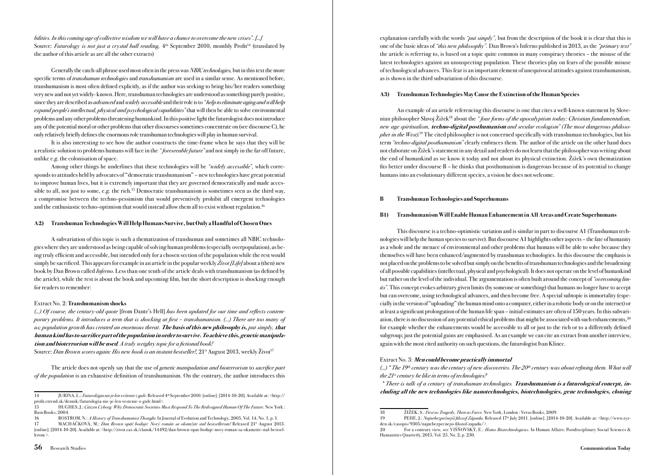bilities. In this coming age of collective wisdom we will have a chance to overcome the new crises". [...] Source: Futurology is not just a crystal ball reading,  $4<sup>th</sup>$  September 2010, monthly Profit<sup>14</sup> (translated by the author of this article as are all the other extracts)

Generally the catch-all phrase used most often in the press was *NBIC technologies*, but in this text the more specific terms of *transhuman technologies* and *transhumanism* are used in a similar sense. As mentioned before, transhumanism is most often defined explicitly, as if the author was seeking to bring his/her readers something very new and not yet widely- known. Here, transhuman technologies are understood as something purely positive, since they are described as *advanced* and *widely accessible* and their role is to "*help to eliminate aging and will help* expand people's intellectual, physical and psychological capabilities" that will then be able to solve environmental problems and any other problems threatening humankind. In this positive light the futurologist does not introduce any of the potential moral or other problems that other discourses sometimes concentrate on (see discourse C), he only relatively briefly defines the enormous role transhuman technologies will play in human survival.

It is also interesting to see how the author constructs the time-frame when he says that they will be a realistic solution to problems humans will face in the "foreseeable future" and not simply in the far off future, unlike e.g. the colonisation of space.

Among other things he underlines that these technologies will be "widely accessible", which corresponds to attitudes held by advocates of "democratic transhumanism" – new technologies have great potential to improve human lives, but it is extremely important that they are governed democratically and made accessible to all, not just to some, e.g. the rich.15 Democratic transhumanism is sometimes seen as the third way, a compromise between the techno-pessimism that would preventively prohibit all emergent technologies and the enthusiastic techno-optimism that would instead allow them all to exist without regulation.16

#### A2) Transhuman Technologies Will Help Humans Survive, but Only a Handful of Chosen Ones

A subvariation of this topic is such a thematization of transhuman and sometimes all NBIC technologies where they are understood as being capable of solving human problems (especially overpopulation), as being truly efficient and accessible, but intended only for a chosen section of the population while the rest would simply be sacrificed. This appears for example in an article in the popular weekly Zivot [Life] about a (then) new book by Dan Brown called *Inferno*. Less than one tenth of the article deals with transhumanism (as defined by the article), while the rest is about the book and upcoming film, but the short description is shocking enough for readers to remember:

#### Extract No. 2: Transhumanism shocks

(...) Of course, the century-old quote [from Dante's Hell] has been updated for our time and reflects contemporary problems. It introduces a term that is shocking at first – transhumanism. (…) There are too many of us; population growth has created an enormous threat. The basis of this new philosophy is, put simply, that human kind has to sacrifice part of the population in order to survive. To achieve this, genetic manipulation and bioterrorism will be used. A truly weighty topic for a fictional book!

Source: Dan Brown scores again: His new book is an instant bestseller!,  $21<sup>st</sup>$  August  $2013$ , weekly  $\check{Z}$ ivot<sup>17</sup>

The article does not openly say that the use of *genetic manipulation and bioterrorism* to *sacrifice part* of the population is an exhaustive definition of transhumanism. On the contrary, the author introduces this explanation carefully with the words "*put simply*", but from the description of the book it is clear that this is one of the basic ideas of "this new philosophy". Dan Brown's Inferno published in 2013, as the "primary text" the article is referring to, is based on a topic quite common in many conspiracy theories – the misuse of the latest technologies against an unsuspecting population. These theories play on fears of the possible misuse of technological advances. This fear is an important element of unequivocal attitudes against transhumanism, as is shown in the third subvariation of this discourse.

#### A3) Transhuman Technologies May Cause the Extinction of the Human Species

An example of an article referencing this discourse is one that cites a well-known statement by Slovenian philosopher Slavoj Žižek<sup>18</sup> about the "four forms of the apocalyptism today: Christian fundamentalism, new age spiritualism, techno-digital posthumanism and secular ecologism" (The most dangerous philosopher in the West).<sup>19</sup> The cited philosopher is not concerned specifically with transhuman technologies, but his term "techno-digital posthumanism" clearly embraces them. The author of the article on the other hand does not elaborate on Žižek's statement in any detail and readers do not learn that the philosopher was writing about the end of humankind as we know it today and not about its physical extinction. Žižek's own thematization fits better under discourse B – he thinks that posthumanism is dangerous because of its potential to change humans into an evolutionary different species, a vision he does not welcome.

#### B Transhuman Technologies and Superhumans

#### B1) Transhumanism Will Enable Human Enhancement in All Areas and Create Superhumans

This discourse is a techno-optimistic variation and is similar in part to discourse A1 (Transhuman technologies will help the human species to survive). But discourse A1 highlights other aspects – the fate of humanity as a whole and the menace of environmental and other problems that humans will be able to solve because they themselves will have been enhanced/augmented by transhuman technologies. In this discourse the emphasis is not placed on the problems to be solved but simply on the benefits of transhuman technologies and the broadening of all possible capabilities (intellectual, physical and psychological). It does not operate on the level of humankind but rather on the level of the individual. The argumentation is often built around the concept of "overcoming limits". This concept evokes arbitrary given limits (by someone or something) that humans no longer have to accept but can overcome, using technological advances, and then become free. A special subtopic is immortality (especially in the version of "uploading" the human mind onto a computer, either in a robotic body or on the internet) or at least a significant prolongation of the human life span – initial estimates are often of 150 years. In this subvariation, there is no discussion of any potential ethical problems that might be associated with such enhancements,<sup>20</sup> for example whether the enhancements would be accessible to all or just to the rich or to a differently defined subgroup; just the potential gains are emphasised. As an example we can cite an extract from another interview, again with the most cited authority on such questions, the futurologist Ivan Klinec.

#### Extract No. 3: Men could become practically immortal

(...) \* The 19th century was the century of new discoveries. The  $20<sup>th</sup>$  century was about refining them. What will the  $21<sup>st</sup>$  century be like in terms of technologies?

 \* There is talk of a century of transhuman technologies. Transhumanism is a futurological concept, including all the new technologies like nanotechnologies, biotechnologies, gene technologies, cloning

<sup>14</sup> JURINA, L.: Futurológia nie je len veštenie z gule. Released 4th September 2010. [online]. [2014-10-20]. Available at: <http:// profit.etrend.sk/dennik/futurologia-nie-je-len-vestenie-z-gule.html>.

<sup>15</sup> HUGHES, J.: Citizen Cyborg: Why Democratic Societies Must Respond To The Redesigned Human Of The Future. New York : BasicBooks, 2004.

<sup>16</sup> BOSTROM, N.: A History of Transhumanist Thought. In Journal of Evolution and Technology, 2005, Vol. 14, No. 1, p. 1.<br>17 MACHÁČKOVÁ, M.: *Dan Brown opäť boduje: Nový román sa okamžite stal bestsellerom!* Released 21<sup>st</sup>

MACHÁČKOVÁ, M.: Dan Brown opäť boduje: Nový román sa okamžite stal bestsellerom! Released 21<sup>st</sup> August 2013 [online]. [2014-10-20]. Available at: <http://zivot.cas.sk/clanok/14492/dan-brown-opat-boduje-novy-roman-sa-okamzite-stal-bestsellerom >.

<sup>18</sup> ŽIŽEK, S.: First as Tragedy, Then as Farce. New York, London : Verso Books, 2009.

<sup>19</sup> PEHE, J.: Najnebezpečnejší filozof Západu. Released 17th July 2011. [online]. [2014-10-20]. Available at: <http://www.tyzden.sk/casopis/9305/najnebezpecnejsi-filozof-zapadu/>.

<sup>20</sup> For a contrary view, see VIŠŇOVSKÝ, E.: Homo Biotechnologicus. In Human Affairs: Postdisciplinary Social Sciences & Humanities Quarterly, 2015, Vol. 25, No. 2, p. 230.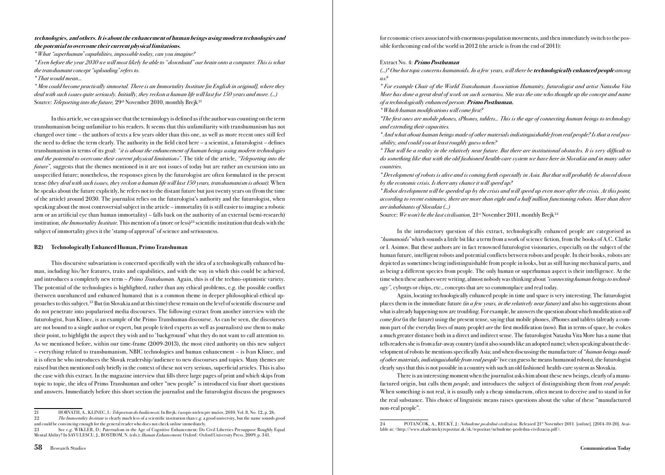### technologies, and others. It is about the enhancement of human beings using modern technologies and the potential to overcome their current physical limitations.

\* What "superhuman" capabilities, impossible today, can you imagine?

\* Even before the year 2030 we will most likely be able to " download" our brain onto a computer. This is what the transhumant concept "uploading" refers to.

### \* That would mean...

\* Men could become practically immortal. There is an Immortality Institute [in English in original], where they deal with such issues quite seriously. Initially, they reckon a human life will last for 150 years and more. (...) Source: Teleporting into the future,  $29<sup>th</sup>$  November 2010, monthly Brejk<sup>21</sup>

In this article, we can again see that the terminology is defined as if the author was counting on the term transhumanism being unfamiliar to his readers. It seems that this unfamiliarity with transhumanism has not changed over time – the authors of texts a few years older than this one, as well as more recent ones still feel the need to define the term clearly. The authority in the field cited here – a scientist, a futurologist – defines transhumanism in terms of its goal: "it is about the enhancement of human beings using modern technologies and the potential to overcome their current physical limitations". The title of the article, "Teleporting into the future", suggests that the themes mentioned in it are not issues of today but are rather an excursion into an unspecified future; nonetheless, the responses given by the futurologist are often formulated in the present tense (they deal with such issues, they reckon a human life will last 150 years, transhumanism is about). When he speaks about the future explicitly, he refers not to the distant future but just twenty years on (from the time of the article) around 2030. The journalist relies on the futurologist's authority and the futurologist, when speaking about the most controversial subject in the article – immortality (it is still easier to imagine a robotic arm or an artificial eye than human immortality) – falls back on the authority of an external (semi-research) institution, the Immortality Institute. This mention of a (more or less)<sup>22</sup> scientific institution that deals with the subject of immortality gives it the 'stamp of approval' of science and seriousness.

### B2) Technologically Enhanced Human, Primo Transhuman

This discursive subvariation is concerned specifically with the idea of a technologically enhanced human, including his/her features, traits and capabilities, and with the way in which this could be achieved, and introduces a completely new term  $-Primo$  Transhuman. Again, this is of the techno-optimistic variety. The potential of the technologies is highlighted, rather than any ethical problems, e.g. the possible conflict (between unenhanced and enhanced humans) that is a common theme in deeper philosophical-ethical approaches to this subject.23 But (in Slovakia and at this time) these remain on the level of scientific discourse and do not penetrate into popularised media discourses. The following extract from another interview with the futurologist, Ivan Klinec, is an example of the Primo Transhuman discourse. As can be seen, the discourses are not bound to a single author or expert, but people (cited experts as well as journalists) use them to make their point, to highlight the aspect they wish and to 'background' what they do not want to call attention to. As we mentioned before, within our time-frame (2009-2013), the most cited authority on this new subject – everything related to transhumanism, NBIC technologies and human enhancement – is Ivan Klinec, and it is often he who introduces the Slovak readership/audience to new discourses and topics. Many themes are raised but then mentioned only briefly in the context of these not very serious, superficial articles. This is also the case with this extract. In the magazine interview that fills three large pages of print and which skips from topic to topic, the idea of Primo Transhuman and other "new people" is introduced via four short questions and answers. Immediately before this short section the journalist and the futurologist discuss the prognoses

The Immortality Institute is clearly much less of a scientific institution than e.g. a good university, but the name sounds good and could be convincing enough for the general reader who does not check online immediately.<br>
23 See e v WIKLER D: Paternalism in the Ave of Covaritive Enhancement: Do

for economic crises associated with enormous population movements, and then immediately switch to the possible forthcoming end of the world in 2012 (the article is from the end of 2011):

### Extract No. 4: Primo Posthuman

(...)\* One hot topic concerns humanoids. In a few years, will there be **technologically enhanced people** among us?

\* For example Chair of the World Transhuman Association Humanity, futurologist and artist Natasha Vita More has done a great deal of work on such scenarios. She was the one who thought up the concept and name of a technologically enhanced person: Primo Posthuman.

\* Which human modifications will come first?

\*The first ones are mobile phones, iPhones, tablets... This is the age of connecting human beings to technology and extending their capacities.

\* And what about human beings made of other materials indistinguishable from real people? Is that a real possibility, and could you at least roughly guess when?

\* That will be a reality in the relatively near future. But there are institutional obstacles. It is very difficult to do something like that with the old fashioned health-care system we have here in Slovakia and in many other countries.

\* Development of robots is alive and is coming forth especially in Asia. But that will probably be slowed down by the economic crisis. Is there any chance it will speed up?

\* Robot development will be speeded up by the crisis and will speed up even more after the crisis. At this point, according to recent estimates, there are more than eight and a half million functioning robots. More than there are inhabitants of Slovakia (...)

Source: We won't be the last civilisation,  $21^{st}$  November 2011, monthly Brejk<sup>24</sup>

In the introductory question of this extract, technologically enhanced people are categorised as "humanoids" which sounds a little bit like a term from a work of science fiction, from the books of A.C. Clarke or I. Asimov. But these authors are in fact renowned futurologist visionaries, especially on the subject of the human future, intelligent robots and potential conflicts between robots and people. In their books, robots are depicted as sometimes being indistinguishable from people in looks, but as still having mechanical parts, and as being a different species from people. The only human or superhuman aspect is their intelligence. At the time when these authors were writing, almost nobody was thinking about "connecting human beings to technology", cyborgs or chips, etc., concepts that are so commonplace and real today.

Again, locating technologically enhanced people in time and space is very interesting. The futurologist places them in the immediate future *(in a few years, in the relatively near future)* and also his suggestions about what is already happening now are troubling. For example, he answers the question about which modification will come first (in the future) using the present tense, saying that mobile phones, iPhones and tablets (already a common part of the everyday lives of many people) are the first modification (now). But in terms of space, he evokes a much greater distance both in a direct and indirect sense. The futurologist Natasha Vita More has a name that tells readers she is from a far-away country (and it also sounds like an adopted name); when speaking about the development of robots he mentions specifically Asia; and when discussing the manufacture of "human beings made of other materials, indistinguishable from real people" (we can guess he means humanoid robots), the futurologist clearly says that this is not possible in a country with such an old fashioned health-care system as Slovakia.

There is an interesting moment when the journalist asks him about these new beings, clearly of a manufactured origin, but calls them *people*, and introduces the subject of distinguishing them from *real people*. When something is not real, it is usually only a cheap simulacrum, often meant to deceive and to stand in for the real substance. This choice of linguistic means raises questions about the value of these "manufactured non-real people".

<sup>21</sup> HORVÁTH, A., KLINEC, I.: *Teleportom do budúcnosti*. In Brejk: časopis nielen pre mužov, 2010, Vol. 8, No. 12, p. 26.<br>22 The *Immortality Institute* is clearly much less of a scientific institution than e.g. a good univ

<sup>23</sup> See e.g. WIKLER, D.: Paternalism in the Age of Cognitive Enhancement: Do Civil Liberties Presuppose Roughly Equal Mental Ability? In SAVULESCU, J., BOSTROM, N. (eds.): *Human Enhancement.* Oxford : Oxford University Press, 2009, p. 341.

<sup>24</sup> POTANČOK, A., RECKÝ, J.: Nebudeme posledná civilizácia. Released 21<sup>st</sup> November 2011. [online]. [2014-10-20]. Available at: <http://www.akademickyrepozitar.sk/sk/repozitar/nebudeme-posledna-civilizacia.pdf>.